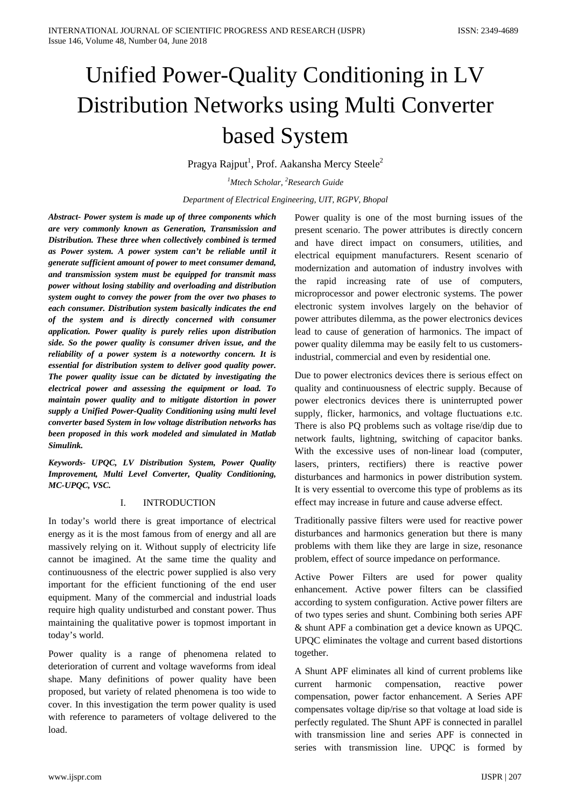# Unified Power-Quality Conditioning in LV Distribution Networks using Multi Converter based System

Pragya Rajput<sup>1</sup>, Prof. Aakansha Mercy Steele<sup>2</sup>

*1 Mtech Scholar, 2 Research Guide*

*Department of Electrical Engineering, UIT, RGPV, Bhopal*

*Abstract- Power system is made up of three components which are very commonly known as Generation, Transmission and Distribution. These three when collectively combined is termed as Power system. A power system can't be reliable until it generate sufficient amount of power to meet consumer demand, and transmission system must be equipped for transmit mass power without losing stability and overloading and distribution system ought to convey the power from the over two phases to each consumer. Distribution system basically indicates the end of the system and is directly concerned with consumer application. Power quality is purely relies upon distribution side. So the power quality is consumer driven issue, and the reliability of a power system is a noteworthy concern. It is essential for distribution system to deliver good quality power. The power quality issue can be dictated by investigating the electrical power and assessing the equipment or load. To maintain power quality and to mitigate distortion in power supply a Unified Power-Quality Conditioning using multi level converter based System in low voltage distribution networks has been proposed in this work modeled and simulated in Matlab Simulink.*

*Keywords- UPQC, LV Distribution System, Power Quality Improvement, Multi Level Converter, Quality Conditioning, MC-UPQC, VSC.*

## I. INTRODUCTION

In today's world there is great importance of electrical energy as it is the most famous from of energy and all are massively relying on it. Without supply of electricity life cannot be imagined. At the same time the quality and continuousness of the electric power supplied is also very important for the efficient functioning of the end user equipment. Many of the commercial and industrial loads require high quality undisturbed and constant power. Thus maintaining the qualitative power is topmost important in today's world.

Power quality is a range of phenomena related to deterioration of current and voltage waveforms from ideal shape. Many definitions of power quality have been proposed, but variety of related phenomena is too wide to cover. In this investigation the term power quality is used with reference to parameters of voltage delivered to the load.

Power quality is one of the most burning issues of the present scenario. The power attributes is directly concern and have direct impact on consumers, utilities, and electrical equipment manufacturers. Resent scenario of modernization and automation of industry involves with the rapid increasing rate of use of computers, microprocessor and power electronic systems. The power electronic system involves largely on the behavior of power attributes dilemma, as the power electronics devices lead to cause of generation of harmonics. The impact of power quality dilemma may be easily felt to us customersindustrial, commercial and even by residential one.

Due to power electronics devices there is serious effect on quality and continuousness of electric supply. Because of power electronics devices there is uninterrupted power supply, flicker, harmonics, and voltage fluctuations e.tc. There is also PQ problems such as voltage rise/dip due to network faults, lightning, switching of capacitor banks. With the excessive uses of non-linear load (computer, lasers, printers, rectifiers) there is reactive power disturbances and harmonics in power distribution system. It is very essential to overcome this type of problems as its effect may increase in future and cause adverse effect.

Traditionally passive filters were used for reactive power disturbances and harmonics generation but there is many problems with them like they are large in size, resonance problem, effect of source impedance on performance.

Active Power Filters are used for power quality enhancement. Active power filters can be classified according to system configuration. Active power filters are of two types series and shunt. Combining both series APF & shunt APF a combination get a device known as UPQC. UPQC eliminates the voltage and current based distortions together.

A Shunt APF eliminates all kind of current problems like current harmonic compensation, reactive power compensation, power factor enhancement. A Series APF compensates voltage dip/rise so that voltage at load side is perfectly regulated. The Shunt APF is connected in parallel with transmission line and series APF is connected in series with transmission line. UPQC is formed by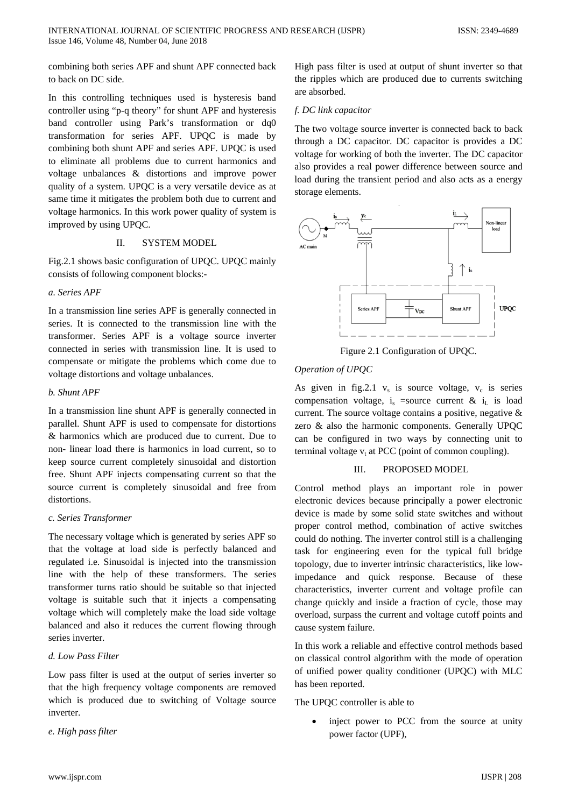combining both series APF and shunt APF connected back to back on DC side.

In this controlling techniques used is hysteresis band controller using "p-q theory" for shunt APF and hysteresis band controller using Park's transformation or dq0 transformation for series APF. UPQC is made by combining both shunt APF and series APF. UPQC is used to eliminate all problems due to current harmonics and voltage unbalances & distortions and improve power quality of a system. UPQC is a very versatile device as at same time it mitigates the problem both due to current and voltage harmonics. In this work power quality of system is improved by using UPQC.

# II. SYSTEM MODEL

Fig.2.1 shows basic configuration of UPQC. UPQC mainly consists of following component blocks:-

## *a. Series APF*

In a transmission line series APF is generally connected in series. It is connected to the transmission line with the transformer. Series APF is a voltage source inverter connected in series with transmission line. It is used to compensate or mitigate the problems which come due to voltage distortions and voltage unbalances.

### *b. Shunt APF*

In a transmission line shunt APF is generally connected in parallel. Shunt APF is used to compensate for distortions & harmonics which are produced due to current. Due to non- linear load there is harmonics in load current, so to keep source current completely sinusoidal and distortion free. Shunt APF injects compensating current so that the source current is completely sinusoidal and free from distortions.

#### *c. Series Transformer*

The necessary voltage which is generated by series APF so that the voltage at load side is perfectly balanced and regulated i.e. Sinusoidal is injected into the transmission line with the help of these transformers. The series transformer turns ratio should be suitable so that injected voltage is suitable such that it injects a compensating voltage which will completely make the load side voltage balanced and also it reduces the current flowing through series inverter.

## *d. Low Pass Filter*

Low pass filter is used at the output of series inverter so that the high frequency voltage components are removed which is produced due to switching of Voltage source inverter.

*e. High pass filter*

High pass filter is used at output of shunt inverter so that the ripples which are produced due to currents switching are absorbed.

## *f. DC link capacitor*

The two voltage source inverter is connected back to back through a DC capacitor. DC capacitor is provides a DC voltage for working of both the inverter. The DC capacitor also provides a real power difference between source and load during the transient period and also acts as a energy storage elements.



Figure 2.1 Configuration of UPQC.

### *Operation of UPQC*

As given in fig.2.1  $v_s$  is source voltage,  $v_c$  is series compensation voltage, i<sub>s</sub> =source current & i<sub>L</sub> is load current. The source voltage contains a positive, negative & zero & also the harmonic components. Generally UPQC can be configured in two ways by connecting unit to terminal voltage  $v_t$  at PCC (point of common coupling).

# III. PROPOSED MODEL

Control method plays an important role in power electronic devices because principally a power electronic device is made by some solid state switches and without proper control method, combination of active switches could do nothing. The inverter control still is a challenging task for engineering even for the typical full bridge topology, due to inverter intrinsic characteristics, like lowimpedance and quick response. Because of these characteristics, inverter current and voltage profile can change quickly and inside a fraction of cycle, those may overload, surpass the current and voltage cutoff points and cause system failure.

In this work a reliable and effective control methods based on classical control algorithm with the mode of operation of unified power quality conditioner (UPQC) with MLC has been reported.

#### The UPQC controller is able to

inject power to PCC from the source at unity power factor (UPF),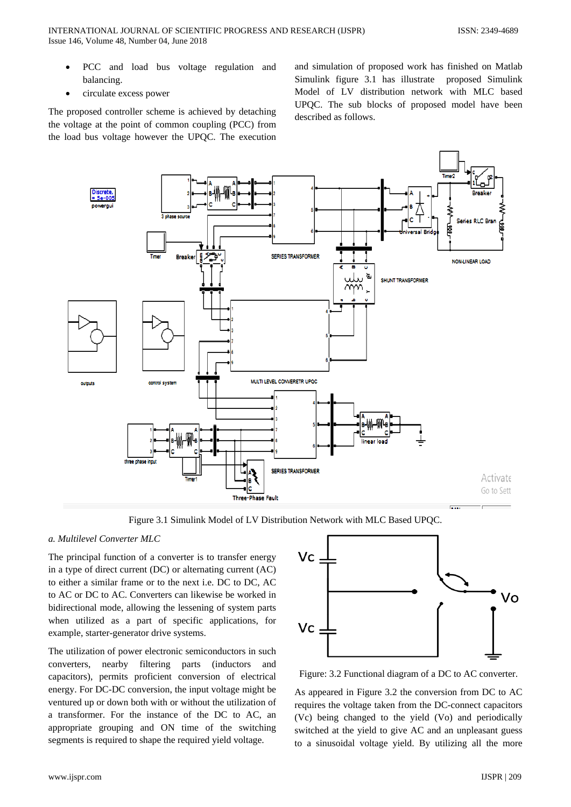- PCC and load bus voltage regulation and balancing.
- circulate excess power

The proposed controller scheme is achieved by detaching the voltage at the point of common coupling (PCC) from the load bus voltage however the UPQC. The execution

and simulation of proposed work has finished on Matlab Simulink figure 3.1 has illustrate proposed Simulink Model of LV distribution network with MLC based UPQC. The sub blocks of proposed model have been described as follows.



Figure 3.1 Simulink Model of LV Distribution Network with MLC Based UPQC.

# *a. Multilevel Converter MLC*

The principal function of a converter is to transfer energy in a type of direct current (DC) or alternating current (AC) to either a similar frame or to the next i.e. DC to DC, AC to AC or DC to AC. Converters can likewise be worked in bidirectional mode, allowing the lessening of system parts when utilized as a part of specific applications, for example, starter-generator drive systems.

The utilization of power electronic semiconductors in such converters, nearby filtering parts (inductors and capacitors), permits proficient conversion of electrical energy. For DC-DC conversion, the input voltage might be ventured up or down both with or without the utilization of a transformer. For the instance of the DC to AC, an appropriate grouping and ON time of the switching segments is required to shape the required yield voltage.



Figure: 3.2 Functional diagram of a DC to AC converter.

As appeared in Figure 3.2 the conversion from DC to AC requires the voltage taken from the DC-connect capacitors (Vc) being changed to the yield (Vo) and periodically switched at the yield to give AC and an unpleasant guess to a sinusoidal voltage yield. By utilizing all the more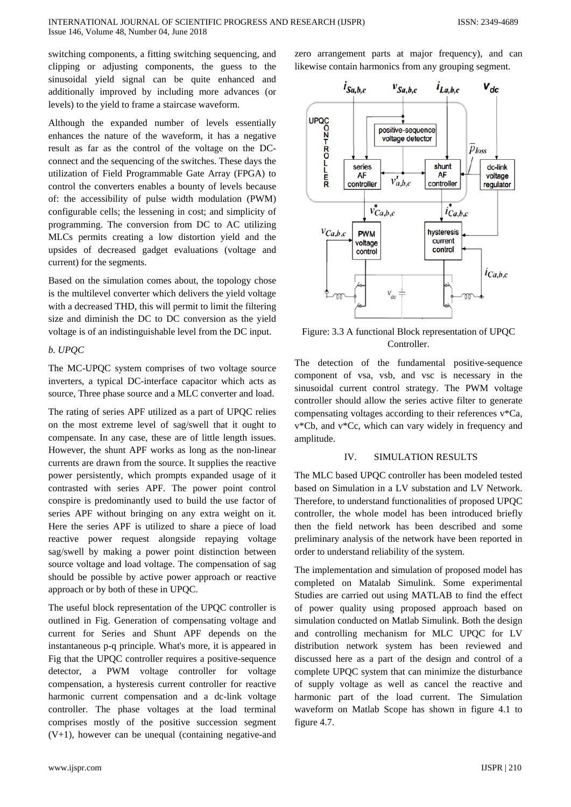switching components, a fitting switching sequencing, and clipping or adjusting components, the guess to the sinusoidal yield signal can be quite enhanced and additionally improved by including more advances (or levels) to the yield to frame a staircase waveform.

Although the expanded number of levels essentially enhances the nature of the waveform, it has a negative result as far as the control of the voltage on the DCconnect and the sequencing of the switches. These days the utilization of Field Programmable Gate Array (FPGA) to control the converters enables a bounty of levels because of: the accessibility of pulse width modulation (PWM) configurable cells; the lessening in cost; and simplicity of programming. The conversion from DC to AC utilizing MLCs permits creating a low distortion yield and the upsides of decreased gadget evaluations (voltage and current) for the segments.

Based on the simulation comes about, the topology chose is the multilevel converter which delivers the yield voltage with a decreased THD, this will permit to limit the filtering size and diminish the DC to DC conversion as the yield voltage is of an indistinguishable level from the DC input.

## *b. UPQC*

The MC-UPQC system comprises of two voltage source inverters, a typical DC-interface capacitor which acts as source, Three phase source and a MLC converter and load.

The rating of series APF utilized as a part of UPQC relies on the most extreme level of sag/swell that it ought to compensate. In any case, these are of little length issues. However, the shunt APF works as long as the non-linear currents are drawn from the source. It supplies the reactive power persistently, which prompts expanded usage of it contrasted with series APF. The power point control conspire is predominantly used to build the use factor of series APF without bringing on any extra weight on it. Here the series APF is utilized to share a piece of load reactive power request alongside repaying voltage sag/swell by making a power point distinction between source voltage and load voltage. The compensation of sag should be possible by active power approach or reactive approach or by both of these in UPQC.

The useful block representation of the UPQC controller is outlined in Fig. Generation of compensating voltage and current for Series and Shunt APF depends on the instantaneous p-q principle. What's more, it is appeared in Fig that the UPQC controller requires a positive-sequence detector, a PWM voltage controller for voltage compensation, a hysteresis current controller for reactive harmonic current compensation and a dc-link voltage controller. The phase voltages at the load terminal comprises mostly of the positive succession segment  $(V+1)$ , however can be unequal (containing negative-and

zero arrangement parts at major frequency), and can likewise contain harmonics from any grouping segment.



Figure: 3.3 A functional Block representation of UPQC Controller.

The detection of the fundamental positive-sequence component of vsa, vsb, and vsc is necessary in the sinusoidal current control strategy. The PWM voltage controller should allow the series active filter to generate compensating voltages according to their references v\*Ca, v\*Cb, and v\*Cc, which can vary widely in frequency and amplitude.

## IV. SIMULATION RESULTS

The MLC based UPQC controller has been modeled tested based on Simulation in a LV substation and LV Network. Therefore, to understand functionalities of proposed UPQC controller, the whole model has been introduced briefly then the field network has been described and some preliminary analysis of the network have been reported in order to understand reliability of the system.

The implementation and simulation of proposed model has completed on Matalab Simulink. Some experimental Studies are carried out using MATLAB to find the effect of power quality using proposed approach based on simulation conducted on Matlab Simulink. Both the design and controlling mechanism for MLC UPQC for LV distribution network system has been reviewed and discussed here as a part of the design and control of a complete UPQC system that can minimize the disturbance of supply voltage as well as cancel the reactive and harmonic part of the load current. The Simulation waveform on Matlab Scope has shown in figure 4.1 to figure 4.7.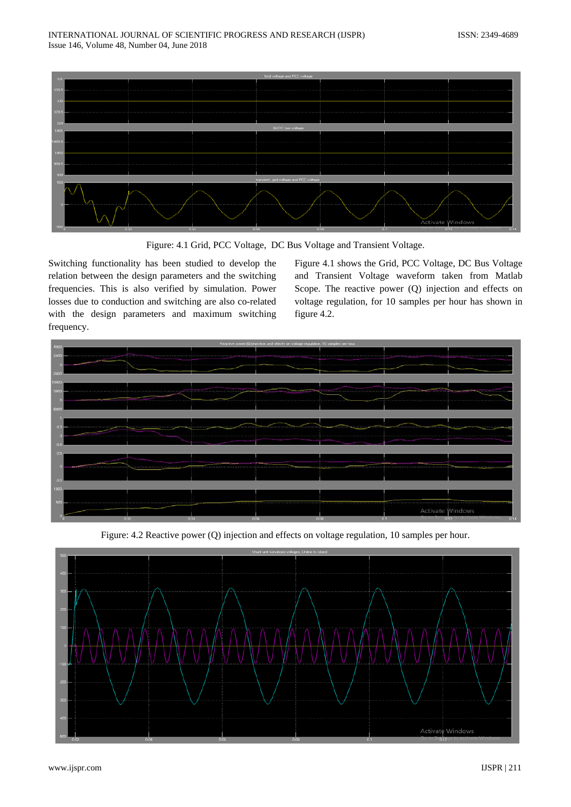

Figure: 4.1 Grid, PCC Voltage, DC Bus Voltage and Transient Voltage.

Switching functionality has been studied to develop the relation between the design parameters and the switching frequencies. This is also verified by simulation. Power losses due to conduction and switching are also co-related with the design parameters and maximum switching frequency.

Figure 4.1 shows the Grid, PCC Voltage, DC Bus Voltage and Transient Voltage waveform taken from Matlab Scope. The reactive power (Q) injection and effects on voltage regulation, for 10 samples per hour has shown in figure 4.2.



Figure: 4.2 Reactive power (Q) injection and effects on voltage regulation, 10 samples per hour.

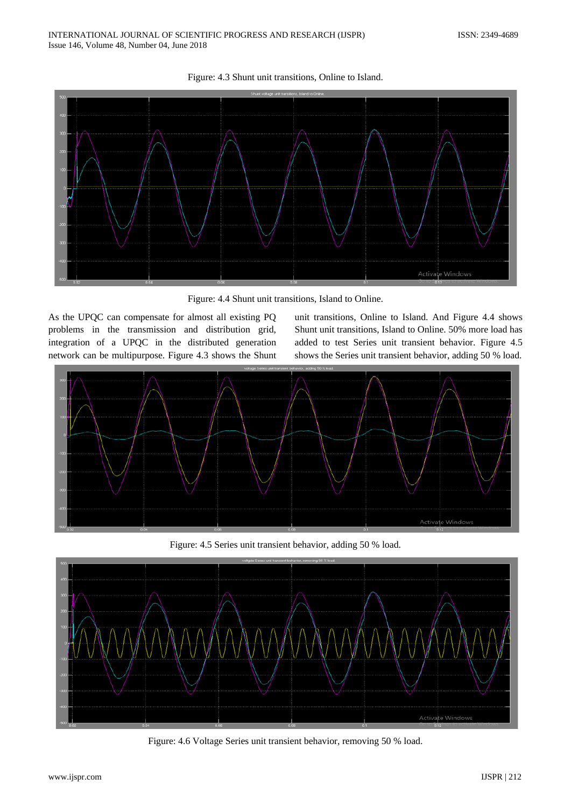

Figure: 4.3 Shunt unit transitions, Online to Island.

Figure: 4.4 Shunt unit transitions, Island to Online.

As the UPQC can compensate for almost all existing PQ problems in the transmission and distribution grid, integration of a UPQC in the distributed generation network can be multipurpose. Figure 4.3 shows the Shunt unit transitions, Online to Island. And Figure 4.4 shows Shunt unit transitions, Island to Online. 50% more load has added to test Series unit transient behavior. Figure 4.5 shows the Series unit transient behavior, adding 50 % load.



Figure: 4.5 Series unit transient behavior, adding 50 % load.



Figure: 4.6 Voltage Series unit transient behavior, removing 50 % load.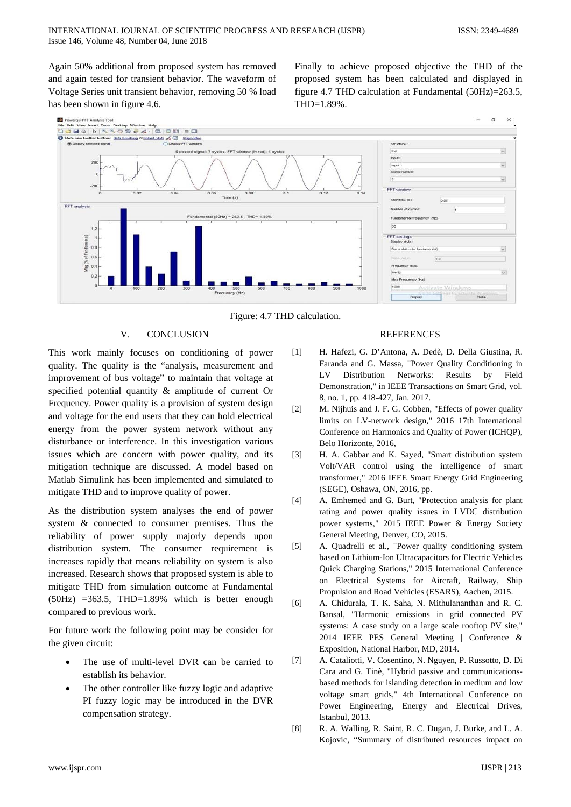Again 50% additional from proposed system has removed and again tested for transient behavior. The waveform of Voltage Series unit transient behavior, removing 50 % load has been shown in figure 4.6.

Finally to achieve proposed objective the THD of the proposed system has been calculated and displayed in figure 4.7 THD calculation at Fundamental (50Hz)=263.5, THD=1.89%.



Figure: 4.7 THD calculation.

# V. CONCLUSION

This work mainly focuses on conditioning of power quality. The quality is the "analysis, measurement and improvement of bus voltage" to maintain that voltage at specified potential quantity & amplitude of current Or Frequency. Power quality is a provision of system design and voltage for the end users that they can hold electrical energy from the power system network without any disturbance or interference. In this investigation various issues which are concern with power quality, and its mitigation technique are discussed. A model based on Matlab Simulink has been implemented and simulated to mitigate THD and to improve quality of power.

As the distribution system analyses the end of power system & connected to consumer premises. Thus the reliability of power supply majorly depends upon distribution system. The consumer requirement is increases rapidly that means reliability on system is also increased. Research shows that proposed system is able to mitigate THD from simulation outcome at Fundamental  $(50Hz)$  =363.5, THD=1.89% which is better enough compared to previous work.

For future work the following point may be consider for the given circuit:

- The use of multi-level DVR can be carried to establish its behavior.
- The other controller like fuzzy logic and adaptive PI fuzzy logic may be introduced in the DVR compensation strategy.

#### **REFERENCES**

- [1] H. Hafezi, G. D'Antona, A. Dedè, D. Della Giustina, R. Faranda and G. Massa, "Power Quality Conditioning in LV Distribution Networks: Results by Field Demonstration," in IEEE Transactions on Smart Grid, vol. 8, no. 1, pp. 418-427, Jan. 2017.
- [2] M. Nijhuis and J. F. G. Cobben, "Effects of power quality limits on LV-network design," 2016 17th International Conference on Harmonics and Quality of Power (ICHQP), Belo Horizonte, 2016,
- [3] H. A. Gabbar and K. Sayed, "Smart distribution system Volt/VAR control using the intelligence of smart transformer," 2016 IEEE Smart Energy Grid Engineering (SEGE), Oshawa, ON, 2016, pp.
- [4] A. Emhemed and G. Burt, "Protection analysis for plant rating and power quality issues in LVDC distribution power systems," 2015 IEEE Power & Energy Society General Meeting, Denver, CO, 2015.
- [5] A. Quadrelli et al., "Power quality conditioning system based on Lithium-Ion Ultracapacitors for Electric Vehicles Quick Charging Stations," 2015 International Conference on Electrical Systems for Aircraft, Railway, Ship Propulsion and Road Vehicles (ESARS), Aachen, 2015.
- [6] A. Chidurala, T. K. Saha, N. Mithulananthan and R. C. Bansal, "Harmonic emissions in grid connected PV systems: A case study on a large scale rooftop PV site," 2014 IEEE PES General Meeting | Conference & Exposition, National Harbor, MD, 2014.
- [7] A. Cataliotti, V. Cosentino, N. Nguyen, P. Russotto, D. Di Cara and G. Tinè, "Hybrid passive and communicationsbased methods for islanding detection in medium and low voltage smart grids," 4th International Conference on Power Engineering, Energy and Electrical Drives, Istanbul, 2013.
- [8] R. A. Walling, R. Saint, R. C. Dugan, J. Burke, and L. A. Kojovic, "Summary of distributed resources impact on